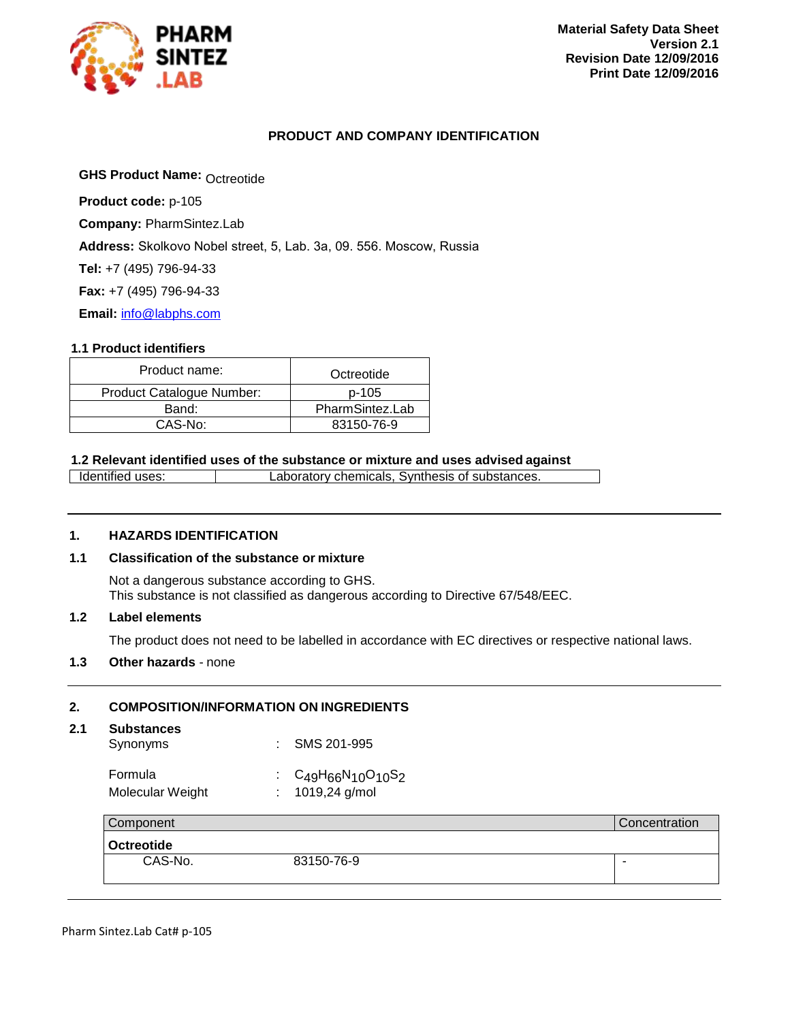

#### **PRODUCT AND COMPANY IDENTIFICATION**

**GHS Product Name: Octreotide** 

**Product code:** p-105

**Company:** PharmSintez.Lab

**Address:** Skolkovo Nobel street, 5, Lab. 3а, 09. 556. Moscow, Russia

**Tel:** +7 (495) 796-94-33

**Fax:** +7 (495) 796-94-33

**Email:** [info@labphs.com](mailto:info@labphs.com)

#### **1.1 Product identifiers**

<span id="page-0-0"></span>

| Product name:             | Octreotide      |
|---------------------------|-----------------|
| Product Catalogue Number: | p-105           |
| Band:                     | PharmSintez.Lab |
| CAS-No:                   | 83150-76-9      |

#### **1.2 Relevant identified uses of the substance or mixture and uses advised against**

Identified uses: Laboratory chemicals, Synthesis of substances.

#### **1. HAZARDS IDENTIFICATION**

#### **1.1 Classification of the substance or mixture**

Not a dangerous substance according to GHS. This substance is not classified as dangerous according to Directive 67/548/EEC.

#### **1.2 Label elements**

The product does not need to be labelled in accordance with EC directives or respective national laws.

#### **1.3 Other hazards** - none

#### **2. COMPOSITION/INFORMATION ON INGREDIENTS**

#### **2.1 Substances**

| --------------- |             |
|-----------------|-------------|
| Synonyms        | SMS 201-995 |

### Formula : C<sub>49</sub>H<sub>66</sub>N<sub>10</sub>O<sub>10</sub>S<sub>2</sub><br>Molecular Weight : 1019,24 g/mol Molecular Weight

| Component         |            | Concentration |
|-------------------|------------|---------------|
| <b>Octreotide</b> |            |               |
| CAS-No.           | 83150-76-9 |               |
|                   |            |               |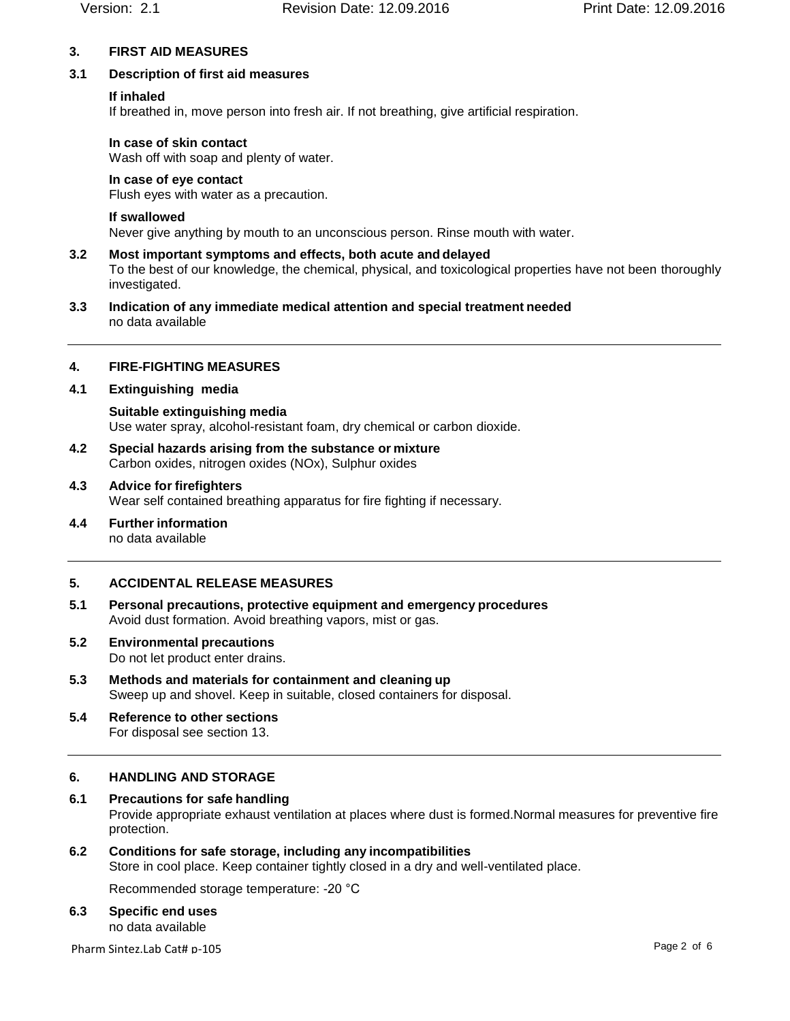### **3. FIRST AID MEASURES**

### **3.1 Description of first aid measures**

### **If inhaled**

If breathed in, move person into fresh air. If not breathing, give artificial respiration.

### **In case of skin contact**

Wash off with soap and plenty of water.

### **In case of eye contact**

Flush eyes with water as a precaution.

### **If swallowed**

Never give anything by mouth to an unconscious person. Rinse mouth with water.

- **3.2 Most important symptoms and effects, both acute and delayed** To the best of our knowledge, the chemical, physical, and toxicological properties have not been thoroughly investigated.
- **3.3 Indication of any immediate medical attention and special treatment needed** no data available

### **4. FIRE-FIGHTING MEASURES**

### **4.1 Extinguishing media**

**Suitable extinguishing media** Use water spray, alcohol-resistant foam, dry chemical or carbon dioxide.

- **4.2 Special hazards arising from the substance or mixture** Carbon oxides, nitrogen oxides (NOx), Sulphur oxides
- **4.3 Advice for firefighters** Wear self contained breathing apparatus for fire fighting if necessary.
- **4.4 Further information** no data available

### **5. ACCIDENTAL RELEASE MEASURES**

- **5.1 Personal precautions, protective equipment and emergency procedures** Avoid dust formation. Avoid breathing vapors, mist or gas.
- **5.2 Environmental precautions**

Do not let product enter drains.

- **5.3 Methods and materials for containment and cleaning up** Sweep up and shovel. Keep in suitable, closed containers for disposal.
- **5.4 Reference to other sections** For disposal see section 13.

### **6. HANDLING AND STORAGE**

### **6.1 Precautions for safe handling** Provide appropriate exhaust ventilation at places where dust is formed.Normal measures for preventive fire protection.

# **6.2 Conditions for safe storage, including any incompatibilities**

Store in cool place. Keep container tightly closed in a dry and well-ventilated place.

Recommended storage temperature: -20 °C

### **6.3 Specific end uses**

no data available

Pharm Sintez.Lab Cat# p-105 Page 2 of 6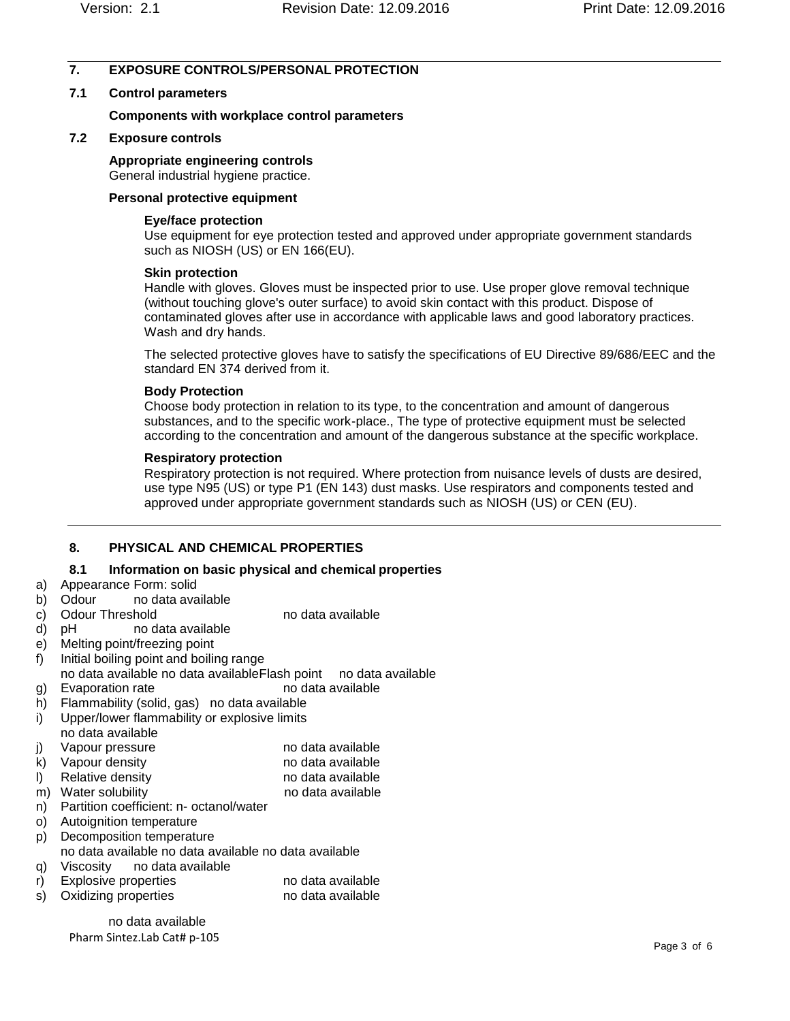### **7. EXPOSURE CONTROLS/PERSONAL PROTECTION**

### **7.1 Control parameters**

#### **Components with workplace control parameters**

#### **7.2 Exposure controls**

#### **Appropriate engineering controls**

General industrial hygiene practice.

#### **Personal protective equipment**

#### **Eye/face protection**

Use equipment for eye protection tested and approved under appropriate government standards such as NIOSH (US) or EN 166(EU).

#### **Skin protection**

Handle with gloves. Gloves must be inspected prior to use. Use proper glove removal technique (without touching glove's outer surface) to avoid skin contact with this product. Dispose of contaminated gloves after use in accordance with applicable laws and good laboratory practices. Wash and dry hands.

The selected protective gloves have to satisfy the specifications of EU Directive 89/686/EEC and the standard EN 374 derived from it.

#### **Body Protection**

Choose body protection in relation to its type, to the concentration and amount of dangerous substances, and to the specific work-place., The type of protective equipment must be selected according to the concentration and amount of the dangerous substance at the specific workplace.

### **Respiratory protection**

Respiratory protection is not required. Where protection from nuisance levels of dusts are desired, use type N95 (US) or type P1 (EN 143) dust masks. Use respirators and components tested and approved under appropriate government standards such as NIOSH (US) or CEN (EU).

### **8. PHYSICAL AND CHEMICAL PROPERTIES**

### **8.1 Information on basic physical and chemical properties**

- a) Appearance Form: solid
- b) Odour no data available
- c) Odour Threshold no data available
- d) pH no data available
- e) Melting point/freezing point
- f) Initial boiling point and boiling range
- no data available no data availableFlash point no data available
- g) Evaporation rate no data available
- h) Flammability (solid, gas) no data available
- i) Upper/lower flammability or explosive limits no data available
- j) Vapour pressure no data available
- k) Vapour density no data available
- l) Relative density contract the no data available
- m) Water solubility no data available
- n) Partition coefficient: n- octanol/water
- o) Autoignition temperature
- p) Decomposition temperature
- no data available no data available no data available
- q) Viscosity no data available
- r) Explosive properties no data available
- s) Oxidizing properties no data available

no data available Pharm Sintez.Lab Cat# [p-105](#page-0-0)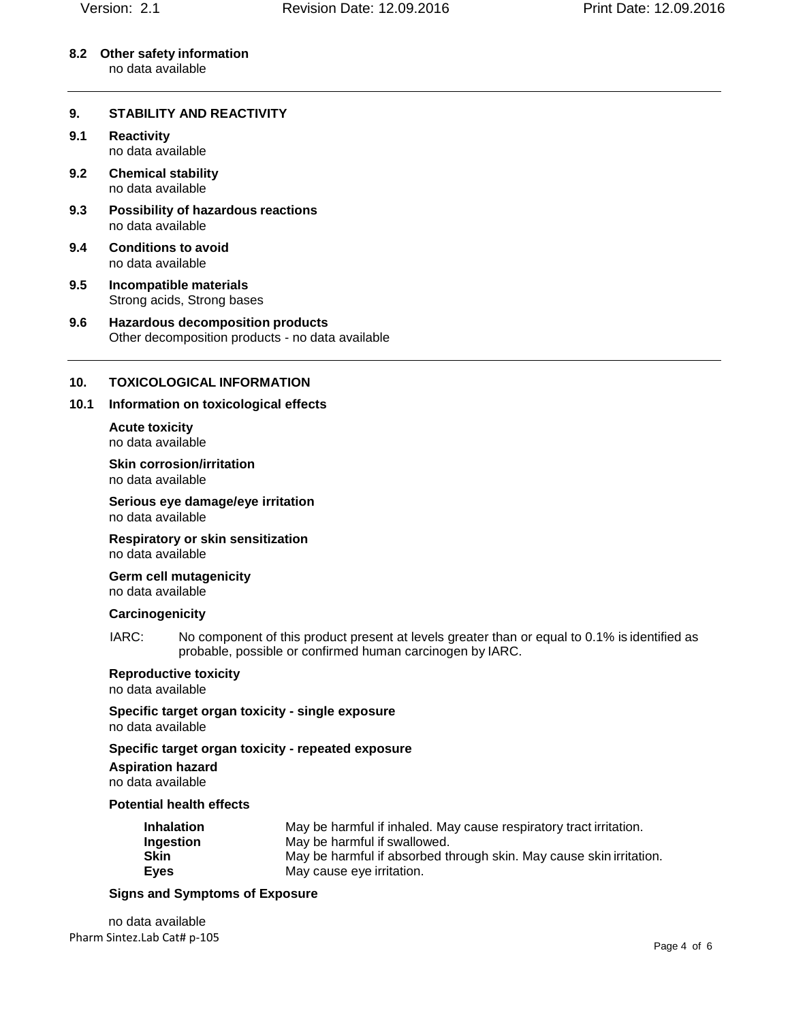**8.2 Other safety information** no data available

#### **9. STABILITY AND REACTIVITY**

- **9.1 Reactivity** no data available
- **9.2 Chemical stability** no data available
- **9.3 Possibility of hazardous reactions** no data available
- **9.4 Conditions to avoid** no data available
- **9.5 Incompatible materials** Strong acids, Strong bases
- **9.6 Hazardous decomposition products** Other decomposition products - no data available

#### **10. TOXICOLOGICAL INFORMATION**

#### **10.1 Information on toxicological effects**

**Acute toxicity** no data available

**Skin corrosion/irritation** no data available

**Serious eye damage/eye irritation** no data available

**Respiratory or skin sensitization** no data available

**Germ cell mutagenicity** no data available

#### **Carcinogenicity**

IARC: No component of this product present at levels greater than or equal to 0.1% is identified as probable, possible or confirmed human carcinogen by IARC.

#### **Reproductive toxicity**

no data available

**Specific target organ toxicity - single exposure** no data available

**Specific target organ toxicity - repeated exposure Aspiration hazard** no data available

#### **Potential health effects**

| <b>Inhalation</b> | May be harmful if inhaled. May cause respiratory tract irritation.  |
|-------------------|---------------------------------------------------------------------|
| Ingestion         | May be harmful if swallowed.                                        |
| Skin              | May be harmful if absorbed through skin. May cause skin irritation. |
| Eyes              | May cause eye irritation.                                           |

#### **Signs and Symptoms of Exposure**

no data available Pharm Sintez.Lab Cat# [p-105](#page-0-0)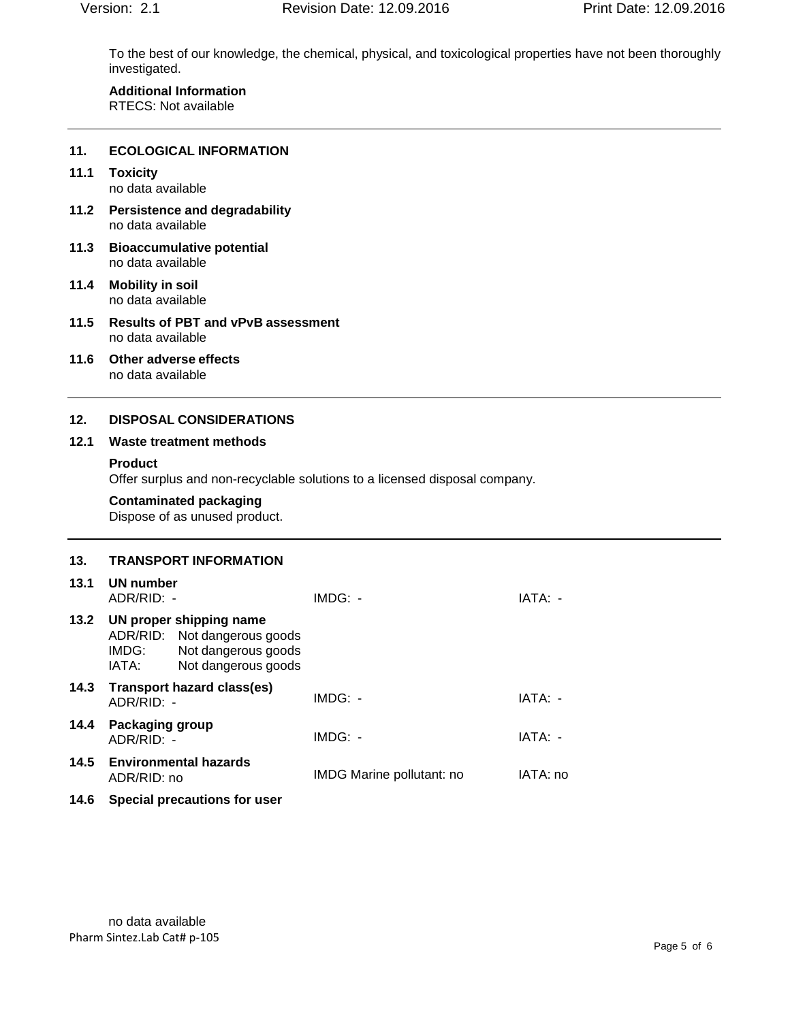To the best of our knowledge, the chemical, physical, and toxicological properties have not been thoroughly investigated.

#### **Additional Information** RTECS: Not available

#### **11. ECOLOGICAL INFORMATION**

### **11.1 Toxicity**

no data available

- **11.2 Persistence and degradability** no data available
- **11.3 Bioaccumulative potential** no data available
- **11.4 Mobility in soil** no data available
- **11.5 Results of PBT and vPvB assessment** no data available
- **11.6 Other adverse effects** no data available

#### **12. DISPOSAL CONSIDERATIONS**

#### **12.1 Waste treatment methods**

#### **Product**

Offer surplus and non-recyclable solutions to a licensed disposal company.

#### **Contaminated packaging**

Dispose of as unused product.

## **13. TRANSPORT INFORMATION**

| 13.1 | UN number<br>ADR/RID: -                                                                                                 | $IMDG: -$                        | IATA: -  |
|------|-------------------------------------------------------------------------------------------------------------------------|----------------------------------|----------|
| 13.2 | UN proper shipping name<br>ADR/RID: Not dangerous goods<br>Not dangerous goods<br>IMDG:<br>Not dangerous goods<br>IATA: |                                  |          |
| 14.3 | Transport hazard class(es)<br>ADR/RID: -                                                                                | $IMDG: -$                        | IATA: -  |
| 14.4 | <b>Packaging group</b><br>ADR/RID: -                                                                                    | $IMDG: -$                        | IATA: -  |
|      | 14.5 Environmental hazards<br>ADR/RID: no                                                                               | <b>IMDG Marine pollutant: no</b> | IATA: no |
| 14.6 | Special precautions for user                                                                                            |                                  |          |